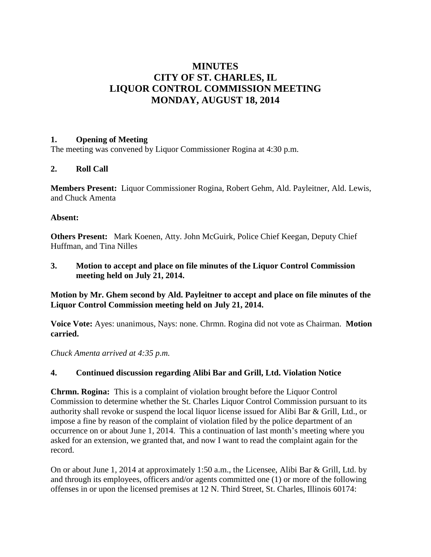# **MINUTES CITY OF ST. CHARLES, IL LIQUOR CONTROL COMMISSION MEETING MONDAY, AUGUST 18, 2014**

## **1. Opening of Meeting**

The meeting was convened by Liquor Commissioner Rogina at 4:30 p.m.

# **2. Roll Call**

**Members Present:** Liquor Commissioner Rogina, Robert Gehm, Ald. Payleitner, Ald. Lewis, and Chuck Amenta

## **Absent:**

**Others Present:** Mark Koenen, Atty. John McGuirk, Police Chief Keegan, Deputy Chief Huffman, and Tina Nilles

**3. Motion to accept and place on file minutes of the Liquor Control Commission meeting held on July 21, 2014.**

**Motion by Mr. Ghem second by Ald. Payleitner to accept and place on file minutes of the Liquor Control Commission meeting held on July 21, 2014.**

**Voice Vote:** Ayes: unanimous, Nays: none. Chrmn. Rogina did not vote as Chairman. **Motion carried.**

*Chuck Amenta arrived at 4:35 p.m.*

# **4. Continued discussion regarding Alibi Bar and Grill, Ltd. Violation Notice**

**Chrmn. Rogina:** This is a complaint of violation brought before the Liquor Control Commission to determine whether the St. Charles Liquor Control Commission pursuant to its authority shall revoke or suspend the local liquor license issued for Alibi Bar & Grill, Ltd., or impose a fine by reason of the complaint of violation filed by the police department of an occurrence on or about June 1, 2014. This a continuation of last month's meeting where you asked for an extension, we granted that, and now I want to read the complaint again for the record.

On or about June 1, 2014 at approximately 1:50 a.m., the Licensee, Alibi Bar & Grill, Ltd. by and through its employees, officers and/or agents committed one (1) or more of the following offenses in or upon the licensed premises at 12 N. Third Street, St. Charles, Illinois 60174: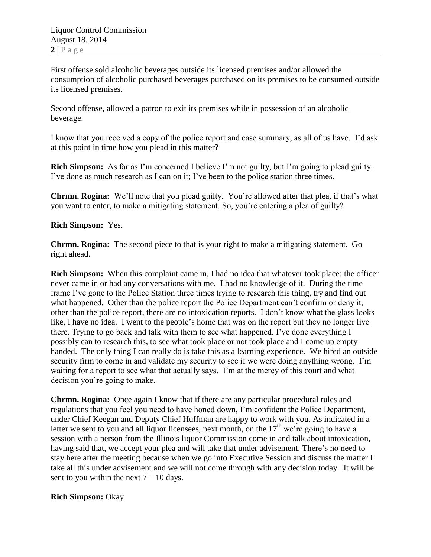First offense sold alcoholic beverages outside its licensed premises and/or allowed the consumption of alcoholic purchased beverages purchased on its premises to be consumed outside its licensed premises.

Second offense, allowed a patron to exit its premises while in possession of an alcoholic beverage.

I know that you received a copy of the police report and case summary, as all of us have. I'd ask at this point in time how you plead in this matter?

**Rich Simpson:** As far as I'm concerned I believe I'm not guilty, but I'm going to plead guilty. I've done as much research as I can on it; I've been to the police station three times.

**Chrmn. Rogina:** We'll note that you plead guilty. You're allowed after that plea, if that's what you want to enter, to make a mitigating statement. So, you're entering a plea of guilty?

# **Rich Simpson:** Yes.

**Chrmn. Rogina:** The second piece to that is your right to make a mitigating statement. Go right ahead.

**Rich Simpson:** When this complaint came in, I had no idea that whatever took place; the officer never came in or had any conversations with me. I had no knowledge of it. During the time frame I've gone to the Police Station three times trying to research this thing, try and find out what happened. Other than the police report the Police Department can't confirm or deny it, other than the police report, there are no intoxication reports. I don't know what the glass looks like, I have no idea. I went to the people's home that was on the report but they no longer live there. Trying to go back and talk with them to see what happened. I've done everything I possibly can to research this, to see what took place or not took place and I come up empty handed. The only thing I can really do is take this as a learning experience. We hired an outside security firm to come in and validate my security to see if we were doing anything wrong. I'm waiting for a report to see what that actually says. I'm at the mercy of this court and what decision you're going to make.

**Chrmn. Rogina:** Once again I know that if there are any particular procedural rules and regulations that you feel you need to have honed down, I'm confident the Police Department, under Chief Keegan and Deputy Chief Huffman are happy to work with you. As indicated in a letter we sent to you and all liquor licensees, next month, on the  $17<sup>th</sup>$  we're going to have a session with a person from the Illinois liquor Commission come in and talk about intoxication, having said that, we accept your plea and will take that under advisement. There's no need to stay here after the meeting because when we go into Executive Session and discuss the matter I take all this under advisement and we will not come through with any decision today. It will be sent to you within the next  $7 - 10$  days.

#### **Rich Simpson:** Okay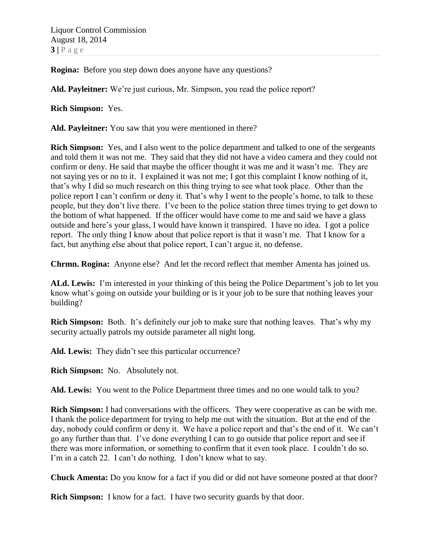Liquor Control Commission August 18, 2014  $3|P$  a g e

**Rogina:** Before you step down does anyone have any questions?

**Ald. Payleitner:** We're just curious, Mr. Simpson, you read the police report?

**Rich Simpson:** Yes.

**Ald. Payleitner:** You saw that you were mentioned in there?

**Rich Simpson:** Yes, and I also went to the police department and talked to one of the sergeants and told them it was not me. They said that they did not have a video camera and they could not confirm or deny. He said that maybe the officer thought it was me and it wasn't me. They are not saying yes or no to it. I explained it was not me; I got this complaint I know nothing of it, that's why I did so much research on this thing trying to see what took place. Other than the police report I can't confirm or deny it. That's why I went to the people's home, to talk to these people, but they don't live there. I've been to the police station three times trying to get down to the bottom of what happened. If the officer would have come to me and said we have a glass outside and here's your glass, I would have known it transpired. I have no idea. I got a police report. The only thing I know about that police report is that it wasn't me. That I know for a fact, but anything else about that police report, I can't argue it, no defense.

**Chrmn. Rogina:** Anyone else? And let the record reflect that member Amenta has joined us.

**ALd. Lewis:** I'm interested in your thinking of this being the Police Department's job to let you know what's going on outside your building or is it your job to be sure that nothing leaves your building?

**Rich Simpson:** Both. It's definitely our job to make sure that nothing leaves. That's why my security actually patrols my outside parameter all night long.

**Ald. Lewis:** They didn't see this particular occurrence?

**Rich Simpson:** No. Absolutely not.

**Ald. Lewis:** You went to the Police Department three times and no one would talk to you?

**Rich Simpson:** I had conversations with the officers. They were cooperative as can be with me. I thank the police department for trying to help me out with the situation. But at the end of the day, nobody could confirm or deny it. We have a police report and that's the end of it. We can't go any further than that. I've done everything I can to go outside that police report and see if there was more information, or something to confirm that it even took place. I couldn't do so. I'm in a catch 22. I can't do nothing. I don't know what to say.

**Chuck Amenta:** Do you know for a fact if you did or did not have someone posted at that door?

**Rich Simpson:** I know for a fact. I have two security guards by that door.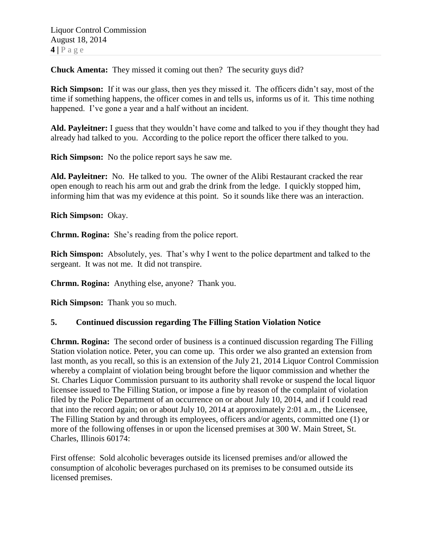**Chuck Amenta:** They missed it coming out then? The security guys did?

**Rich Simpson:** If it was our glass, then yes they missed it. The officers didn't say, most of the time if something happens, the officer comes in and tells us, informs us of it. This time nothing happened. I've gone a year and a half without an incident.

**Ald. Payleitner:** I guess that they wouldn't have come and talked to you if they thought they had already had talked to you. According to the police report the officer there talked to you.

**Rich Simpson:** No the police report says he saw me.

**Ald. Payleitner:** No. He talked to you. The owner of the Alibi Restaurant cracked the rear open enough to reach his arm out and grab the drink from the ledge. I quickly stopped him, informing him that was my evidence at this point. So it sounds like there was an interaction.

**Rich Simpson:** Okay.

**Chrmn. Rogina:** She's reading from the police report.

**Rich Simspon:** Absolutely, yes. That's why I went to the police department and talked to the sergeant. It was not me. It did not transpire.

**Chrmn. Rogina:** Anything else, anyone? Thank you.

**Rich Simpson:** Thank you so much.

#### **5. Continued discussion regarding The Filling Station Violation Notice**

**Chrmn. Rogina:** The second order of business is a continued discussion regarding The Filling Station violation notice. Peter, you can come up. This order we also granted an extension from last month, as you recall, so this is an extension of the July 21, 2014 Liquor Control Commission whereby a complaint of violation being brought before the liquor commission and whether the St. Charles Liquor Commission pursuant to its authority shall revoke or suspend the local liquor licensee issued to The Filling Station, or impose a fine by reason of the complaint of violation filed by the Police Department of an occurrence on or about July 10, 2014, and if I could read that into the record again; on or about July 10, 2014 at approximately 2:01 a.m., the Licensee, The Filling Station by and through its employees, officers and/or agents, committed one (1) or more of the following offenses in or upon the licensed premises at 300 W. Main Street, St. Charles, Illinois 60174:

First offense: Sold alcoholic beverages outside its licensed premises and/or allowed the consumption of alcoholic beverages purchased on its premises to be consumed outside its licensed premises.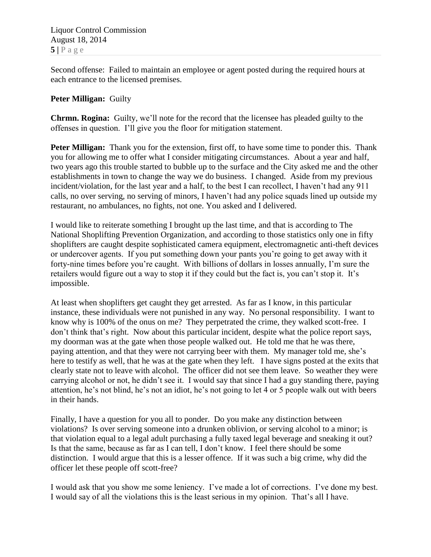Second offense: Failed to maintain an employee or agent posted during the required hours at each entrance to the licensed premises.

## **Peter Milligan:** Guilty

**Chrmn. Rogina:** Guilty, we'll note for the record that the licensee has pleaded guilty to the offenses in question. I'll give you the floor for mitigation statement.

**Peter Milligan:** Thank you for the extension, first off, to have some time to ponder this. Thank you for allowing me to offer what I consider mitigating circumstances. About a year and half, two years ago this trouble started to bubble up to the surface and the City asked me and the other establishments in town to change the way we do business. I changed. Aside from my previous incident/violation, for the last year and a half, to the best I can recollect, I haven't had any 911 calls, no over serving, no serving of minors, I haven't had any police squads lined up outside my restaurant, no ambulances, no fights, not one. You asked and I delivered.

I would like to reiterate something I brought up the last time, and that is according to The National Shoplifting Prevention Organization, and according to those statistics only one in fifty shoplifters are caught despite sophisticated camera equipment, electromagnetic anti-theft devices or undercover agents. If you put something down your pants you're going to get away with it forty-nine times before you're caught. With billions of dollars in losses annually, I'm sure the retailers would figure out a way to stop it if they could but the fact is, you can't stop it. It's impossible.

At least when shoplifters get caught they get arrested. As far as I know, in this particular instance, these individuals were not punished in any way. No personal responsibility. I want to know why is 100% of the onus on me? They perpetrated the crime, they walked scott-free. I don't think that's right. Now about this particular incident, despite what the police report says, my doorman was at the gate when those people walked out. He told me that he was there, paying attention, and that they were not carrying beer with them. My manager told me, she's here to testify as well, that he was at the gate when they left. I have signs posted at the exits that clearly state not to leave with alcohol. The officer did not see them leave. So weather they were carrying alcohol or not, he didn't see it. I would say that since I had a guy standing there, paying attention, he's not blind, he's not an idiot, he's not going to let 4 or 5 people walk out with beers in their hands.

Finally, I have a question for you all to ponder. Do you make any distinction between violations? Is over serving someone into a drunken oblivion, or serving alcohol to a minor; is that violation equal to a legal adult purchasing a fully taxed legal beverage and sneaking it out? Is that the same, because as far as I can tell, I don't know. I feel there should be some distinction. I would argue that this is a lesser offence. If it was such a big crime, why did the officer let these people off scott-free?

I would ask that you show me some leniency. I've made a lot of corrections. I've done my best. I would say of all the violations this is the least serious in my opinion. That's all I have.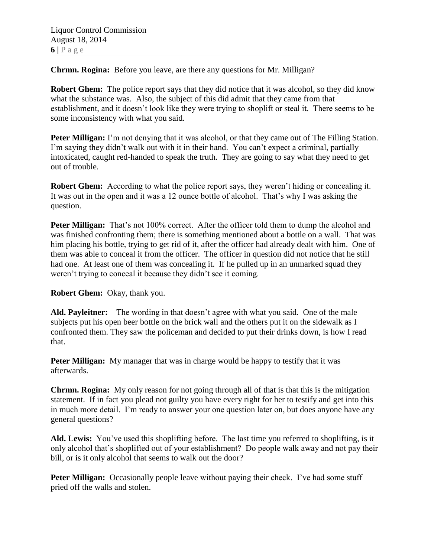**Chrmn. Rogina:** Before you leave, are there any questions for Mr. Milligan?

**Robert Ghem:** The police report says that they did notice that it was alcohol, so they did know what the substance was. Also, the subject of this did admit that they came from that establishment, and it doesn't look like they were trying to shoplift or steal it. There seems to be some inconsistency with what you said.

**Peter Milligan:** I'm not denying that it was alcohol, or that they came out of The Filling Station. I'm saying they didn't walk out with it in their hand. You can't expect a criminal, partially intoxicated, caught red-handed to speak the truth. They are going to say what they need to get out of trouble.

**Robert Ghem:** According to what the police report says, they weren't hiding or concealing it. It was out in the open and it was a 12 ounce bottle of alcohol. That's why I was asking the question.

**Peter Milligan:** That's not 100% correct. After the officer told them to dump the alcohol and was finished confronting them; there is something mentioned about a bottle on a wall. That was him placing his bottle, trying to get rid of it, after the officer had already dealt with him. One of them was able to conceal it from the officer. The officer in question did not notice that he still had one. At least one of them was concealing it. If he pulled up in an unmarked squad they weren't trying to conceal it because they didn't see it coming.

**Robert Ghem:** Okay, thank you.

**Ald. Payleitner:** The wording in that doesn't agree with what you said. One of the male subjects put his open beer bottle on the brick wall and the others put it on the sidewalk as I confronted them. They saw the policeman and decided to put their drinks down, is how I read that.

**Peter Milligan:** My manager that was in charge would be happy to testify that it was afterwards.

**Chrmn. Rogina:** My only reason for not going through all of that is that this is the mitigation statement. If in fact you plead not guilty you have every right for her to testify and get into this in much more detail. I'm ready to answer your one question later on, but does anyone have any general questions?

**Ald. Lewis:** You've used this shoplifting before. The last time you referred to shoplifting, is it only alcohol that's shoplifted out of your establishment? Do people walk away and not pay their bill, or is it only alcohol that seems to walk out the door?

**Peter Milligan:** Occasionally people leave without paying their check. I've had some stuff pried off the walls and stolen.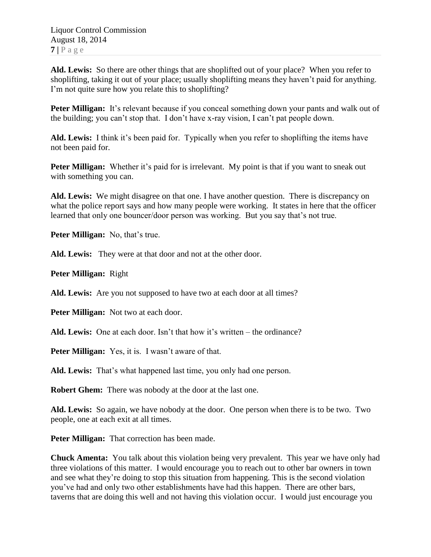**Ald. Lewis:** So there are other things that are shoplifted out of your place? When you refer to shoplifting, taking it out of your place; usually shoplifting means they haven't paid for anything. I'm not quite sure how you relate this to shoplifting?

**Peter Milligan:** It's relevant because if you conceal something down your pants and walk out of the building; you can't stop that. I don't have x-ray vision, I can't pat people down.

**Ald. Lewis:** I think it's been paid for. Typically when you refer to shoplifting the items have not been paid for.

**Peter Milligan:** Whether it's paid for is irrelevant. My point is that if you want to sneak out with something you can.

**Ald. Lewis:** We might disagree on that one. I have another question. There is discrepancy on what the police report says and how many people were working. It states in here that the officer learned that only one bouncer/door person was working. But you say that's not true.

**Peter Milligan:** No, that's true.

**Ald. Lewis:** They were at that door and not at the other door.

**Peter Milligan:** Right

**Ald. Lewis:** Are you not supposed to have two at each door at all times?

**Peter Milligan:** Not two at each door.

**Ald. Lewis:** One at each door. Isn't that how it's written – the ordinance?

**Peter Milligan:** Yes, it is. I wasn't aware of that.

**Ald. Lewis:** That's what happened last time, you only had one person.

**Robert Ghem:** There was nobody at the door at the last one.

**Ald. Lewis:** So again, we have nobody at the door. One person when there is to be two. Two people, one at each exit at all times.

**Peter Milligan:** That correction has been made.

**Chuck Amenta:** You talk about this violation being very prevalent. This year we have only had three violations of this matter. I would encourage you to reach out to other bar owners in town and see what they're doing to stop this situation from happening. This is the second violation you've had and only two other establishments have had this happen. There are other bars, taverns that are doing this well and not having this violation occur. I would just encourage you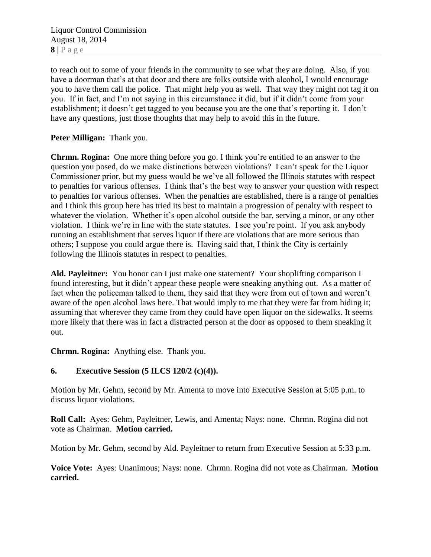Liquor Control Commission August 18, 2014  $8 | P a \geq e$ 

to reach out to some of your friends in the community to see what they are doing. Also, if you have a doorman that's at that door and there are folks outside with alcohol, I would encourage you to have them call the police. That might help you as well. That way they might not tag it on you. If in fact, and I'm not saying in this circumstance it did, but if it didn't come from your establishment; it doesn't get tagged to you because you are the one that's reporting it. I don't have any questions, just those thoughts that may help to avoid this in the future.

## **Peter Milligan:** Thank you.

**Chrmn. Rogina:** One more thing before you go. I think you're entitled to an answer to the question you posed, do we make distinctions between violations? I can't speak for the Liquor Commissioner prior, but my guess would be we've all followed the Illinois statutes with respect to penalties for various offenses. I think that's the best way to answer your question with respect to penalties for various offenses. When the penalties are established, there is a range of penalties and I think this group here has tried its best to maintain a progression of penalty with respect to whatever the violation. Whether it's open alcohol outside the bar, serving a minor, or any other violation. I think we're in line with the state statutes. I see you're point. If you ask anybody running an establishment that serves liquor if there are violations that are more serious than others; I suppose you could argue there is. Having said that, I think the City is certainly following the Illinois statutes in respect to penalties.

**Ald. Payleitner:** You honor can I just make one statement? Your shoplifting comparison I found interesting, but it didn't appear these people were sneaking anything out. As a matter of fact when the policeman talked to them, they said that they were from out of town and weren't aware of the open alcohol laws here. That would imply to me that they were far from hiding it; assuming that wherever they came from they could have open liquor on the sidewalks. It seems more likely that there was in fact a distracted person at the door as opposed to them sneaking it out.

**Chrmn. Rogina:** Anything else. Thank you.

# **6. Executive Session (5 ILCS 120/2 (c)(4)).**

Motion by Mr. Gehm, second by Mr. Amenta to move into Executive Session at 5:05 p.m. to discuss liquor violations.

**Roll Call:** Ayes: Gehm, Payleitner, Lewis, and Amenta; Nays: none. Chrmn. Rogina did not vote as Chairman. **Motion carried.**

Motion by Mr. Gehm, second by Ald. Payleitner to return from Executive Session at 5:33 p.m.

**Voice Vote:** Ayes: Unanimous; Nays: none. Chrmn. Rogina did not vote as Chairman. **Motion carried.**